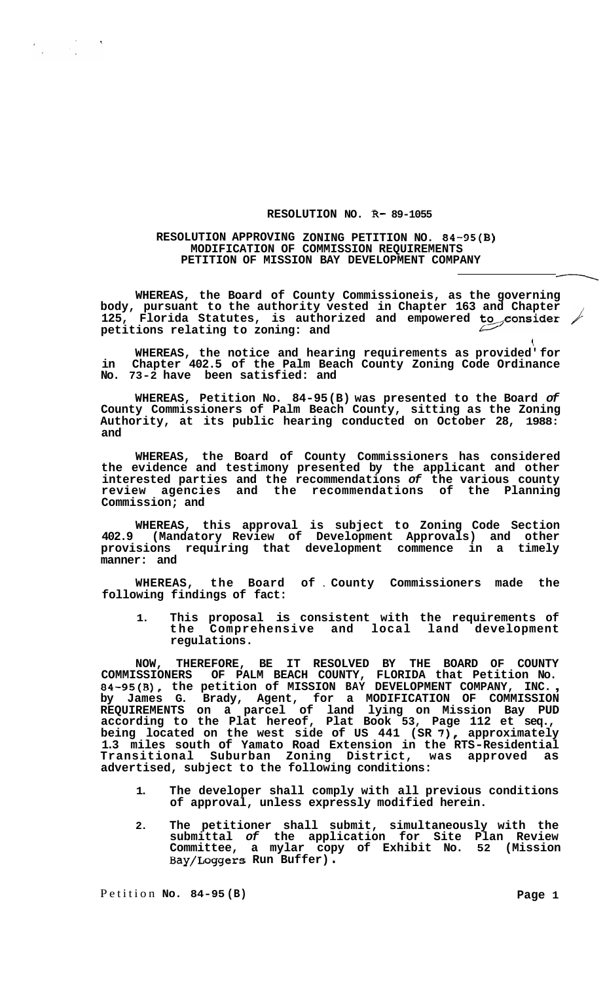## **RESOLUTION NO. R- 89-1055**

## **RESOLUTION APPROVING ZONING PETITION NO. 84-95(B) MODIFICATION OF COMMISSION REQUIREMENTS PETITION OF MISSION BAY DEVELOPMENT COMPANY**

**WHEREAS, the Board of County Commissioneis, as the governing body, pursuant to the authority vested in Chapter 163 and Chapter**  125, Florida Statutes, is authorized and empowered to consider / **petitions relating to zoning: and** 

 $\langle$ **WHEREAS, the notice and hearing requirements as provided' for in Chapter 402.5 of the Palm Beach County Zoning Code Ordinance No. 73-2 have been satisfied: and** 

**WHEREAS, Petition No. 84-95 (B) was presented to the Board** *of*  **County Commissioners of Palm Beach County, sitting as the Zoning Authority, at its public hearing conducted on October 28, 1988: and** 

**WHEREAS, the Board of County Commissioners has considered the evidence and testimony presented by the applicant and other interested parties and the recommendations** *of* **the various county review agencies and the recommendations of the Planning Commission; and** 

**WHEREAS, this approval is subject to Zoning Code Section 402.9 (Mandatory Review of Development Approvals) and other provisions requiring that development commence in a timely manner: and** 

**WHEREAS, the Board of** . **County Commissioners made the following findings of fact:** 

**1. This proposal is consistent with the requirements of the Comprehensive and local land development regulations.** 

**NOW, THEREFORE, BE IT RESOLVED BY THE BOARD OF COUNTY COMMISSIONERS OF PALM BEACH COUNTY, FLORIDA that Petition No. 84-95(8), the petition of MISSION BAY DEVELOPMENT COMPANY, INC.** , **by James G. Brady, Agent, for a MODIFICATION OF COMMISSION REQUIREMENTS on a parcel of land lying on Mission Bay PUD according to the Plat hereof, Plat Book 53, Page 112 et seq., being located on the west side of US 441 (SR** *7),* **approximately 1.3 miles south of Yamato Road Extension in the RTS-Residential Transitional Suburban Zoning District, was approved as advertised, subject to the following conditions:** 

- **1. The developer shall comply with all previous conditions of approval, unless expressly modified herein.**
- **2. The petitioner shall submit, simultaneously with the submittal** *of* **the application for Site Plan Review Committee, a mylar copy of Exhibit No. 52 (Mission Bay/Loggers Run Buffer)** .

 $\label{eq:2} \begin{split} \mathcal{L}_{\text{max}} &= \frac{1}{2} \sum_{i=1}^{N} \frac{1}{2} \sum_{i=1}^{N} \frac{1}{2} \sum_{i=1}^{N} \frac{1}{2} \sum_{i=1}^{N} \frac{1}{2} \sum_{i=1}^{N} \frac{1}{2} \sum_{i=1}^{N} \frac{1}{2} \sum_{i=1}^{N} \frac{1}{2} \sum_{i=1}^{N} \frac{1}{2} \sum_{i=1}^{N} \frac{1}{2} \sum_{i=1}^{N} \frac{1}{2} \sum_{i=1}^{N} \frac{1}{2} \sum$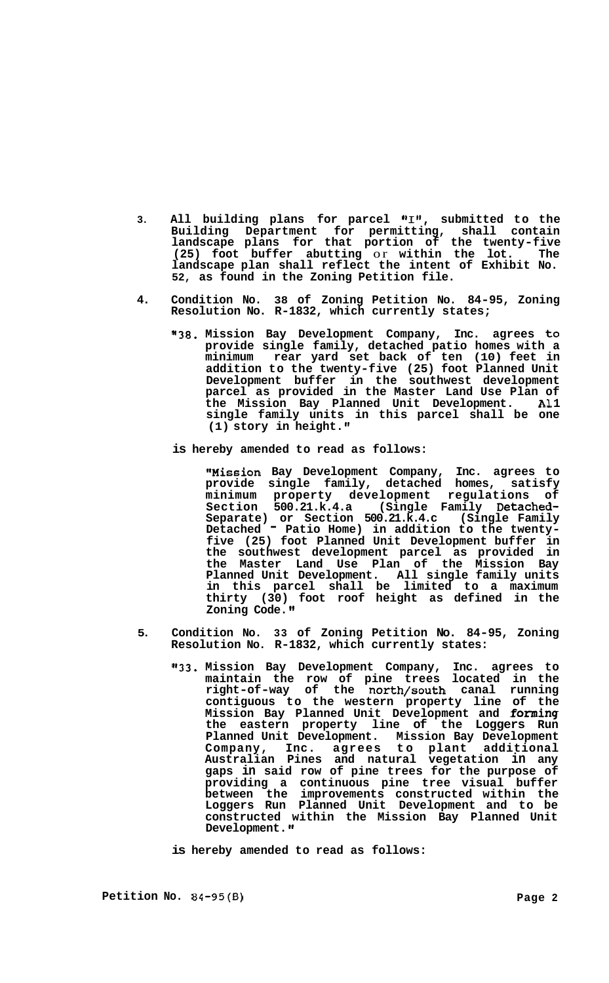- 3. All building plans for parcel "I", submitted to the **Building Department for permitting, shall contain landscape plans for that portion of the twenty-five (25) foot buffer abutting** or **within the lot. The landscape plan shall reflect the intent of Exhibit No. 52, as found in the Zoning Petition file.**
- **4. Condition No. 38 of Zoning Petition No. 84-95, Zoning Resolution No. R-1832, which currently states;** 
	- **"38. Mission Bay Development Company, Inc. agrees to provide single family, detached patio homes with a minimum rear yard set back of ten (10) feet in addition to the twenty-f ive (25) foot Planned Unit Development buffer in the southwest development parcel as provided in the Master Land Use Plan of the Mission Bay Planned Unit Development. AI. 1 single family units in this parcel shall be one (1) story in height."**
	- **is hereby amended to read as follows:**

**tlMission Bay Development Company, Inc. agrees to provide single family, detached homes, satisfy minimum property development regulations of Section 500.21.k.4.a (Single Family Detached-Separate) or Section 500.21.k.4.c (Single Family Detached** - **Patio Home) in addition to the twenty- five (25) foot Planned Unit Development buffer in the southwest development parcel as provided in the Master Land Use Plan of the Mission Bay Planned Unit Development. All single family units in this parcel shall be limited to a maximum thirty (30) foot roof height as defined in the Zoning Code.** 

- **5. Condition No. 33 of Zoning Petition No. 84-95, Zoning Resolution No. R-1832, which currently states:** 
	- **"33. Mission Bay Development Company, Inc. agrees to maintain the row of pine trees located in the right-of-way of the north/south canal running contiguous to the western property line of the Mission Bay Planned Unit Development and forming the eastern property line of the Loggers Run Planned Unit Development. Mission Bay Development Company, Inc. agrees to plant additional Australian Pines and natural vegetation in any gaps in said row of pine trees for the purpose of providing a continuous pine tree visual buffer between the improvements constructed within the Loggers Run Planned Unit Development and to be constructed within the Mission Bay Planned Unit**  Development.  $^{\prime\prime}$

**is hereby amended to read as follows:**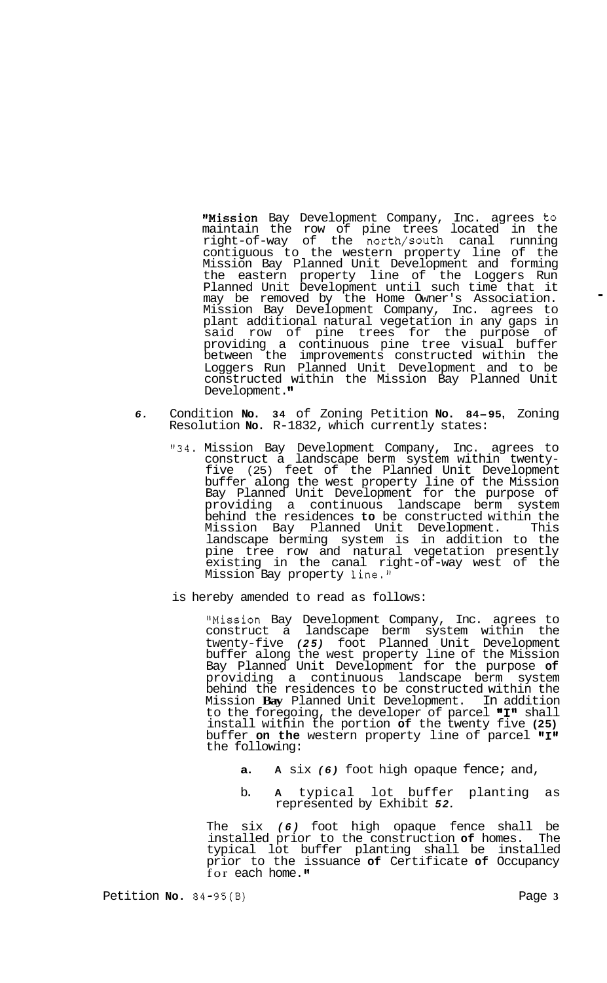"Mission Bay Development Company, Inc. agrees to maintain the row of pine trees located in the right-of-way of the north/south canal running contiguous to the western property line of the Mission Bay Planned Unit Development and forming the eastern property line of the Loggers Run Planned Unit Development until such time that it may be removed by the Home Owner's Association. Mission Bay Development Company, Inc. agrees to plant additional natural vegetation in any gaps in said row of pine trees for the purpose of providing a continuous pine tree visual buffer between the improvements constructed within the Loggers Run Planned Unit Development and to be constructed within the Mission Bay Planned Unit Development."

- *6.* Condition **No. 34** of Zoning Petition **No. 84-95,** Zoning Resolution **No.** R-1832, which currently states:
	- **"34.** Mission Bay Development Company, Inc. agrees to construct a landscape berm system within twenty- five (25) feet of the Planned Unit Development buffer along the west property line of the Mission Bay Planned Unit Development for the purpose of providing a continuous landscape berm system behind the residences **to** be constructed within the Mission Bay Planned Unit Development. This landscape berming system is in addition to the pine tree row and natural vegetation presently existing in the canal right-of-way west of the Mission Bay property line."
	- is hereby amended to read as follows:

''Mission Bay Development Company, Inc. agrees to construct a landscape berm system within the twenty-five *(25)* foot Planned Unit Development buffer along the west property line of the Mission Bay Planned Unit Development for the purpose **of**  providing a continuous landscape berm system behind the residences to be constructed within the Mission **Bay** Planned Unit Development. In addition to the foregoing, the developer of parcel "I" shall install within the portion **of** the twenty five **(25)**  buffer **on the** western property line of parcel "I" the following:

- **a. A** six *(6)* foot high opaque fence; and,
- b. **A** typical lot buffer planting as represented by Exhibit *52.*

The six *(6)* foot high opaque fence shall be installed prior to the construction **of** homes. The typical lot buffer planting shall be installed prior to the issuance **of** Certificate **of** Occupancy for each home."

.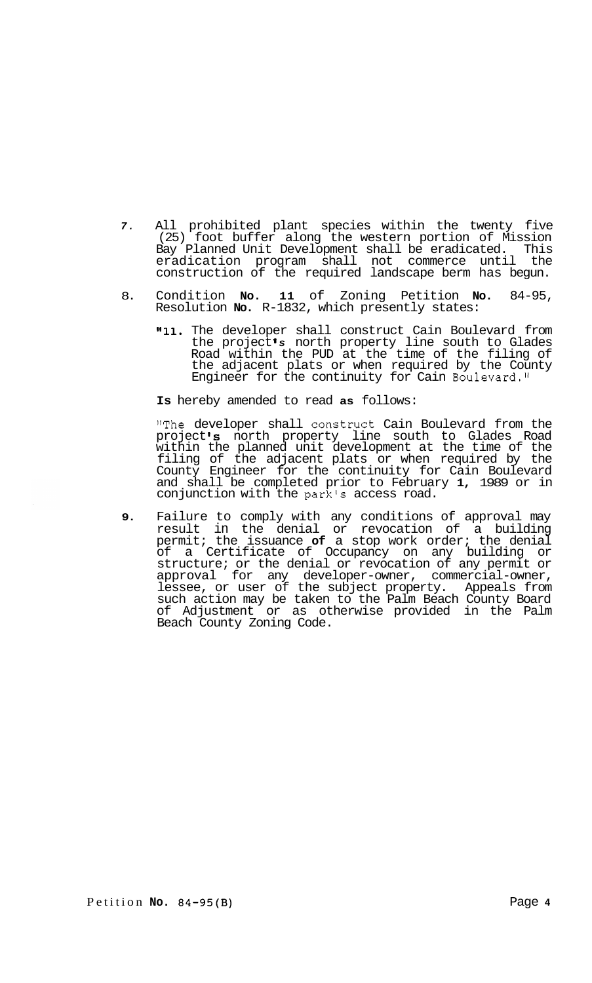- *7.* All prohibited plant species within the twenty five (25) foot buffer along the western portion of Mission Bay Planned Unit Development shall be eradicated. This eradication program shall not commerce until the construction of the required landscape berm has begun.
- 8. Condition **No. 11** of Zoning Petition **No.** 84-95, Resolution **No.** R-1832, which presently states:
	- **lfll.** The developer shall construct Cain Boulevard from the project *s* north property line south to Glades Road within the PUD at the time of the filing of the adjacent plats or when required by the County Engineer for the continuity for Cain Boulevard."

**Is** hereby amended to read **as** follows:

"The developer shall construct Cain Boulevard from the project's north property line south to Glades Road within the planned unit development at the time of the filing of the adjacent plats or when required by the County Engineer for the continuity for Cain Boulevard and shall be completed prior to February **1,** 1989 or in conjunction with the park's access road.

**9.** Failure to comply with any conditions of approval may result in the denial or revocation of a building permit; the issuance **of** a stop work order; the denial of a Certificate of Occupancy on any building or structure; or the denial or revocation of any permit or approval for any developer-owner, commercial-owner, lessee, or user of the subject property. Appeals from such action may be taken to the Palm Beach County Board of Adjustment or as otherwise provided in the Palm Beach County Zoning Code.